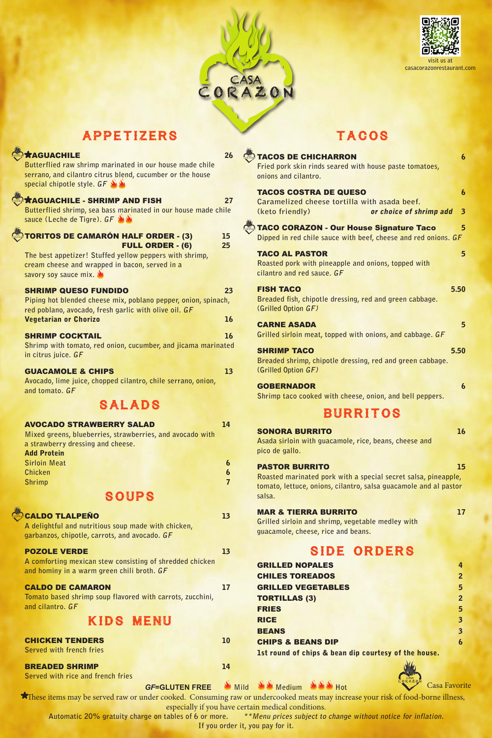



# APPETIZERS

| <b><i><u><b>AGUACHILE</b></u></i></b>                                                                                   | 26             |
|-------------------------------------------------------------------------------------------------------------------------|----------------|
| Butterflied raw shrimp marinated in our house made chile                                                                |                |
| serrano, and cilantro citrus blend, cucumber or the house                                                               |                |
| special chipotle style. GF                                                                                              |                |
| <b>*AGUACHILE - SHRIMP AND FISH</b>                                                                                     | 27             |
| Butterflied shrimp, sea bass marinated in our house made chile                                                          |                |
| sauce (Leche de Tigre). GF                                                                                              |                |
| <b>TORITOS DE CAMARÓN HALF ORDER - (3)</b>                                                                              | 15             |
| <b>FULL ORDER - (6)</b>                                                                                                 | 25             |
| The best appetizer! Stuffed yellow peppers with shrimp,                                                                 |                |
| cream cheese and wrapped in bacon, served in a<br>savory soy sauce mix.                                                 |                |
|                                                                                                                         |                |
| <b>SHRIMP QUESO FUNDIDO</b>                                                                                             | 23             |
| Piping hot blended cheese mix, poblano pepper, onion, spinach,<br>red poblano, avocado, fresh garlic with olive oil. GF |                |
| <b>Vegetarian or Chorizo</b>                                                                                            | 16             |
|                                                                                                                         |                |
| <b>SHRIMP COCKTAIL</b><br>Shrimp with tomato, red onion, cucumber, and jicama marinated                                 | 16             |
| in citrus juice. GF                                                                                                     |                |
|                                                                                                                         |                |
| <b>GUACAMOLE &amp; CHIPS</b><br>Avocado, lime juice, chopped cilantro, chile serrano, onion,                            | 13             |
| and tomato. GF                                                                                                          |                |
| <b>SALADS</b>                                                                                                           |                |
|                                                                                                                         |                |
| <b>AVOCADO STRAWBERRY SALAD</b>                                                                                         | 14             |
| Mixed greens, blueberries, strawberries, and avocado with                                                               |                |
| a strawberry dressing and cheese.                                                                                       |                |
| <b>Add Protein</b><br><b>Sirloin Meat</b>                                                                               | 6              |
| Chicken                                                                                                                 | 6              |
| <b>Shrimp</b>                                                                                                           | $\overline{7}$ |
| <b>SOUPS</b>                                                                                                            |                |
|                                                                                                                         |                |
| <b>CALDO TLALPEÑO</b>                                                                                                   | 13             |
| A delightful and nutritious soup made with chicken,<br>garbanzos, chipotle, carrots, and avocado. GF                    |                |
|                                                                                                                         |                |
| <b>POZOLE VERDE</b>                                                                                                     | 13             |
| A comforting mexican stew consisting of shredded chicken<br>and hominy in a warm green chili broth. GF                  |                |
|                                                                                                                         |                |
| <b>CALDO DE CAMARON</b>                                                                                                 | 17             |
| Tomato based shrimp soup flavored with carrots, zucchini,<br>and cilantro. GF                                           |                |
|                                                                                                                         |                |
| KIDS MENU                                                                                                               |                |
| <b>CHICKEN TENDERS</b>                                                                                                  | 10             |

BREADED SHRIMP 14

**Served with french fries**

# TACOS

| <b>TACOS DE CHICHARRON</b><br>Fried pork skin rinds seared with house paste tomatoes,<br>onions and cilantro.                                                         | 6                                           |
|-----------------------------------------------------------------------------------------------------------------------------------------------------------------------|---------------------------------------------|
| <b>TACOS COSTRA DE QUESO</b><br>Caramelized cheese tortilla with asada beef.<br>(keto friendly)<br>or choice of shrimp add                                            | $\boldsymbol{6}$<br>$\overline{\mathbf{3}}$ |
| <b>TACO CORAZON - Our House Signature Taco</b><br>Dipped in red chile sauce with beef, cheese and red onions. GF                                                      | 5                                           |
| <b>TACO AL PASTOR</b><br>Roasted pork with pineapple and onions, topped with<br>cilantro and red sauce. GF                                                            | $5\overline{)}$                             |
| <b>FISH TACO</b><br>Breaded fish, chipotle dressing, red and green cabbage.<br>(Grilled Option GF)                                                                    | 5.50                                        |
| <b>CARNE ASADA</b><br>Grilled sirloin meat, topped with onions, and cabbage. GF                                                                                       | 5                                           |
| <b>SHRIMP TACO</b><br>Breaded shrimp, chipotle dressing, red and green cabbage.<br>(Grilled Option GF)                                                                | 5.50                                        |
| <b>GOBERNADOR</b><br>Shrimp taco cooked with cheese, onion, and bell peppers.                                                                                         | $\boldsymbol{6}$                            |
| <b>BURRITOS</b>                                                                                                                                                       |                                             |
| <b>SONORA BURRITO</b><br>Asada sirloin with guacamole, rice, beans, cheese and<br>pico de gallo.                                                                      | 16                                          |
| <b>PASTOR BURRITO</b><br>Roasted marinated pork with a special secret salsa, pineapple,<br>tomato, lettuce, onions, cilantro, salsa guacamole and al pastor<br>salsa. | 15                                          |
| <b>MAR &amp; TIERRA BURRITO</b><br>Grilled sirloin and shrimp, vegetable medley with<br>guacamole, cheese, rice and beans.                                            | 17                                          |
| <b>SIDE ORDERS</b>                                                                                                                                                    |                                             |
| <b>GRILLED NOPALES</b>                                                                                                                                                | 4                                           |
| <b>CHILES TOREADOS</b>                                                                                                                                                | $\overline{2}$                              |
| <b>GRILLED VEGETABLES</b>                                                                                                                                             | 5                                           |
| <b>TORTILLAS (3)</b><br><b>FRIES</b>                                                                                                                                  | $\overline{2}$<br>5                         |
| <b>RICE</b>                                                                                                                                                           | $\overline{\mathbf{3}}$                     |
| <b>BEANS</b>                                                                                                                                                          | $\overline{\mathbf{3}}$                     |
| <b>CHIPS &amp; BEANS DIP</b>                                                                                                                                          | $\boldsymbol{6}$                            |
| 1st round of chips & bean dip courtesy of the house.                                                                                                                  |                                             |



Casa Favorite

**Served with rice and french fries**

**GF=GLUTEN FREE** Mild Medium SAN Hot

These items may be served raw or under cooked. Consuming raw or undercooked meats may increase your risk of food-borne illness,

especially if you have certain medical conditions.<br>Automatic 20% gratuity charge on tables of 6 or more. \*\*Menu prices subject to \*\*Menu prices subject to change without notice for inflation.

**If you order it, you pay for it.**